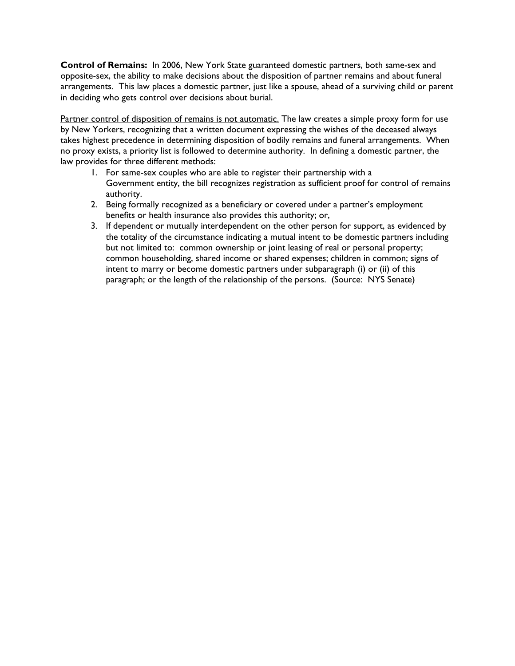**Control of Remains:** In 2006, New York State guaranteed domestic partners, both same-sex and opposite-sex, the ability to make decisions about the disposition of partner remains and about funeral arrangements. This law places a domestic partner, just like a spouse, ahead of a surviving child or parent in deciding who gets control over decisions about burial.

Partner control of disposition of remains is not automatic. The law creates a simple proxy form for use by New Yorkers, recognizing that a written document expressing the wishes of the deceased always takes highest precedence in determining disposition of bodily remains and funeral arrangements. When no proxy exists, a priority list is followed to determine authority. In defining a domestic partner, the law provides for three different methods:

- 1. For same-sex couples who are able to register their partnership with a Government entity, the bill recognizes registration as sufficient proof for control of remains authority.
- 2. Being formally recognized as a beneficiary or covered under a partner's employment benefits or health insurance also provides this authority; or,
- 3. If dependent or mutually interdependent on the other person for support, as evidenced by the totality of the circumstance indicating a mutual intent to be domestic partners including but not limited to: common ownership or joint leasing of real or personal property; common householding, shared income or shared expenses; children in common; signs of intent to marry or become domestic partners under subparagraph (i) or (ii) of this paragraph; or the length of the relationship of the persons. (Source: NYS Senate)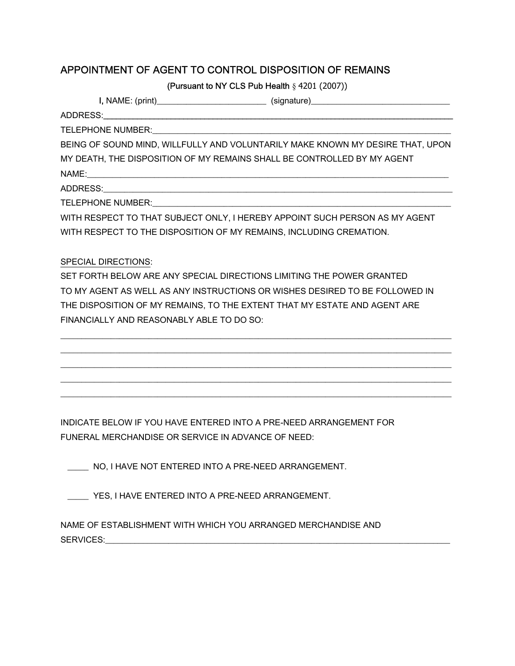# APPOINTMENT OF AGENT TO CONTROL DISPOSITION OF REMAINS

(Pursuant to NY CLS Pub Health § 4201 (2007))

| BEING OF SOUND MIND, WILLFULLY AND VOLUNTARILY MAKE KNOWN MY DESIRE THAT, UPON |  |  |
|--------------------------------------------------------------------------------|--|--|
| MY DEATH, THE DISPOSITION OF MY REMAINS SHALL BE CONTROLLED BY MY AGENT        |  |  |
|                                                                                |  |  |
|                                                                                |  |  |
|                                                                                |  |  |
| WITH RESPECT TO THAT SUBJECT ONLY, I HEREBY APPOINT SUCH PERSON AS MY AGENT    |  |  |
| WITH RESPECT TO THE DISPOSITION OF MY REMAINS, INCLUDING CREMATION.            |  |  |
|                                                                                |  |  |
| <b>SPECIAL DIRECTIONS:</b>                                                     |  |  |
| SET FORTH BELOW ARE ANY SPECIAL DIRECTIONS LIMITING THE POWER GRANTED          |  |  |
| TO MY AGENT AS WELL AS ANY INSTRUCTIONS OR WISHES DESIRED TO BE FOLLOWED IN    |  |  |
| THE DISPOSITION OF MY REMAINS, TO THE EXTENT THAT MY ESTATE AND AGENT ARE      |  |  |

\_\_\_\_\_\_\_\_\_\_\_\_\_\_\_\_\_\_\_\_\_\_\_\_\_\_\_\_\_\_\_\_\_\_\_\_\_\_\_\_\_\_\_\_\_\_\_\_\_\_\_\_\_\_\_\_\_\_\_\_\_\_\_\_\_\_\_\_\_\_\_\_\_\_\_\_\_\_\_\_\_\_\_\_\_\_\_\_\_\_\_\_\_ \_\_\_\_\_\_\_\_\_\_\_\_\_\_\_\_\_\_\_\_\_\_\_\_\_\_\_\_\_\_\_\_\_\_\_\_\_\_\_\_\_\_\_\_\_\_\_\_\_\_\_\_\_\_\_\_\_\_\_\_\_\_\_\_\_\_\_\_\_\_\_\_\_\_\_\_\_\_\_\_\_\_\_\_\_\_\_\_\_\_\_\_\_ \_\_\_\_\_\_\_\_\_\_\_\_\_\_\_\_\_\_\_\_\_\_\_\_\_\_\_\_\_\_\_\_\_\_\_\_\_\_\_\_\_\_\_\_\_\_\_\_\_\_\_\_\_\_\_\_\_\_\_\_\_\_\_\_\_\_\_\_\_\_\_\_\_\_\_\_\_\_\_\_\_\_\_\_\_\_\_\_\_\_\_\_\_ \_\_\_\_\_\_\_\_\_\_\_\_\_\_\_\_\_\_\_\_\_\_\_\_\_\_\_\_\_\_\_\_\_\_\_\_\_\_\_\_\_\_\_\_\_\_\_\_\_\_\_\_\_\_\_\_\_\_\_\_\_\_\_\_\_\_\_\_\_\_\_\_\_\_\_\_\_\_\_\_\_\_\_\_\_\_\_\_\_\_\_\_\_ \_\_\_\_\_\_\_\_\_\_\_\_\_\_\_\_\_\_\_\_\_\_\_\_\_\_\_\_\_\_\_\_\_\_\_\_\_\_\_\_\_\_\_\_\_\_\_\_\_\_\_\_\_\_\_\_\_\_\_\_\_\_\_\_\_\_\_\_\_\_\_\_\_\_\_\_\_\_\_\_\_\_\_\_\_\_\_\_\_\_\_\_\_

INDICATE BELOW IF YOU HAVE ENTERED INTO A PRE-NEED ARRANGEMENT FOR FUNERAL MERCHANDISE OR SERVICE IN ADVANCE OF NEED:

\_\_\_\_\_ NO, I HAVE NOT ENTERED INTO A PRE-NEED ARRANGEMENT.

FINANCIALLY AND REASONABLY ABLE TO DO SO:

YES, I HAVE ENTERED INTO A PRE-NEED ARRANGEMENT.

NAME OF ESTABLISHMENT WITH WHICH YOU ARRANGED MERCHANDISE AND SERVICES: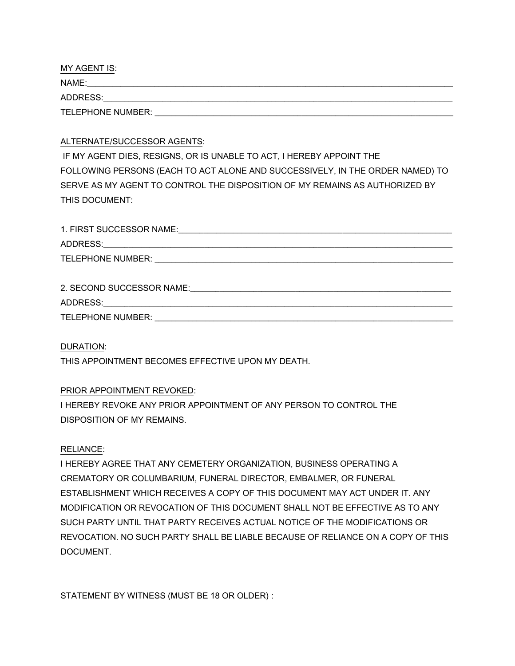MY AGENT IS:  $NAME:$ ADDRESS: TELEPHONE NUMBER: \_\_\_\_\_\_\_\_\_\_\_\_\_\_\_\_\_\_\_\_\_\_\_\_\_\_\_\_\_\_\_\_\_\_\_\_\_\_\_\_\_\_\_\_\_\_\_\_\_\_\_\_\_\_\_\_\_\_\_\_\_\_\_\_\_\_\_\_\_\_\_

# ALTERNATE/SUCCESSOR AGENTS:

 IF MY AGENT DIES, RESIGNS, OR IS UNABLE TO ACT, I HEREBY APPOINT THE FOLLOWING PERSONS (EACH TO ACT ALONE AND SUCCESSIVELY, IN THE ORDER NAMED) TO SERVE AS MY AGENT TO CONTROL THE DISPOSITION OF MY REMAINS AS AUTHORIZED BY THIS DOCUMENT:

| 1. FIRST SUCCESSOR NAME:                                                     |
|------------------------------------------------------------------------------|
|                                                                              |
| TELEPHONE NUMBER:<br><u> 1989 - John Stone, Amerikaans en Stone († 1989)</u> |
| 2. SECOND SUCCESSOR NAME:                                                    |

ADDRESS:\_\_\_\_\_\_\_\_\_\_\_\_\_\_\_\_\_\_\_\_\_\_\_\_\_\_\_\_\_\_\_\_\_\_\_\_\_\_\_\_\_\_\_\_\_\_\_\_\_\_\_\_\_\_\_\_\_\_\_\_\_\_\_\_\_\_\_\_\_\_\_\_\_\_\_\_\_\_\_\_\_\_\_

TELEPHONE NUMBER: **WEBSINGS** 

### DURATION:

THIS APPOINTMENT BECOMES EFFECTIVE UPON MY DEATH.

# PRIOR APPOINTMENT REVOKED:

I HEREBY REVOKE ANY PRIOR APPOINTMENT OF ANY PERSON TO CONTROL THE DISPOSITION OF MY REMAINS.

### RELIANCE:

I HEREBY AGREE THAT ANY CEMETERY ORGANIZATION, BUSINESS OPERATING A CREMATORY OR COLUMBARIUM, FUNERAL DIRECTOR, EMBALMER, OR FUNERAL ESTABLISHMENT WHICH RECEIVES A COPY OF THIS DOCUMENT MAY ACT UNDER IT. ANY MODIFICATION OR REVOCATION OF THIS DOCUMENT SHALL NOT BE EFFECTIVE AS TO ANY SUCH PARTY UNTIL THAT PARTY RECEIVES ACTUAL NOTICE OF THE MODIFICATIONS OR REVOCATION. NO SUCH PARTY SHALL BE LIABLE BECAUSE OF RELIANCE ON A COPY OF THIS DOCUMENT.

STATEMENT BY WITNESS (MUST BE 18 OR OLDER) :